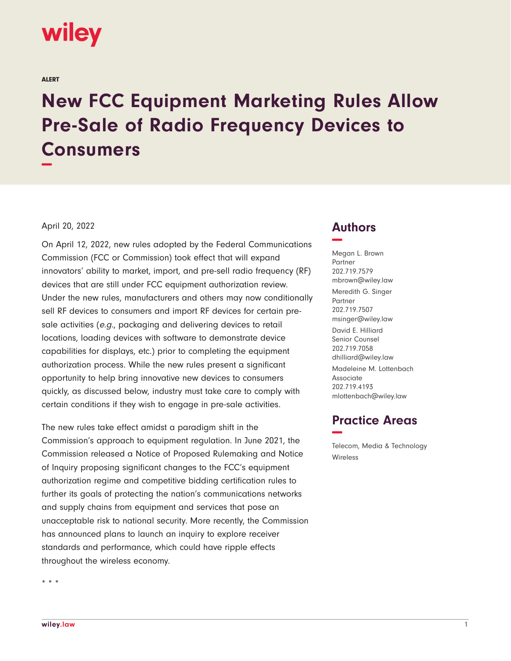

ALERT

# **New FCC Equipment Marketing Rules Allow Pre-Sale of Radio Frequency Devices to Consumers −**

#### April 20, 2022

On April 12, 2022, new rules adopted by the Federal Communications Commission (FCC or Commission) took effect that will expand innovators' ability to market, import, and pre-sell radio frequency (RF) devices that are still under FCC equipment authorization review. Under the new rules, manufacturers and others may now conditionally sell RF devices to consumers and import RF devices for certain presale activities (e.g., packaging and delivering devices to retail locations, loading devices with software to demonstrate device capabilities for displays, etc.) prior to completing the equipment authorization process. While the new rules present a significant opportunity to help bring innovative new devices to consumers quickly, as discussed below, industry must take care to comply with certain conditions if they wish to engage in pre-sale activities.

The new rules take effect amidst a paradigm shift in the Commission's approach to equipment regulation. In June 2021, the Commission released a Notice of Proposed Rulemaking and Notice of Inquiry proposing significant changes to the FCC's equipment authorization regime and competitive bidding certification rules to further its goals of protecting the nation's communications networks and supply chains from equipment and services that pose an unacceptable risk to national security. More recently, the Commission has announced plans to launch an inquiry to explore receiver standards and performance, which could have ripple effects throughout the wireless economy.

## **Authors −**

Megan L. Brown Partner 202.719.7579 mbrown@wiley.law Meredith G. Singer Partner 202.719.7507 msinger@wiley.law David E. Hilliard Senior Counsel 202.719.7058 dhilliard@wiley.law Madeleine M. Lottenbach Associate 202.719.4193 mlottenbach@wiley.law

## **Practice Areas −**

Telecom, Media & Technology Wireless

\* \* \*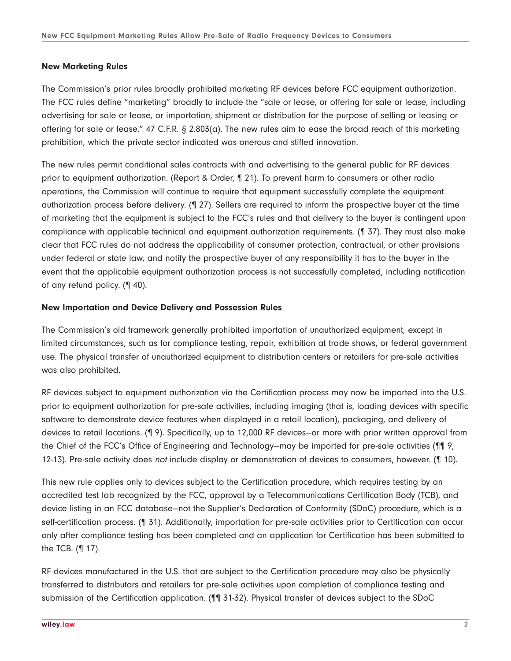#### **New Marketing Rules**

The Commission's prior rules broadly prohibited marketing RF devices before FCC equipment authorization. The FCC rules define "marketing" broadly to include the "sale or lease, or offering for sale or lease, including advertising for sale or lease, or importation, shipment or distribution for the purpose of selling or leasing or offering for sale or lease." 47 C.F.R. § 2.803(a). The new rules aim to ease the broad reach of this marketing prohibition, which the private sector indicated was onerous and stifled innovation.

The new rules permit conditional sales contracts with and advertising to the general public for RF devices prior to equipment authorization. (Report & Order, ¶ 21). To prevent harm to consumers or other radio operations, the Commission will continue to require that equipment successfully complete the equipment authorization process before delivery. (¶ 27). Sellers are required to inform the prospective buyer at the time of marketing that the equipment is subject to the FCC's rules and that delivery to the buyer is contingent upon compliance with applicable technical and equipment authorization requirements. (¶ 37). They must also make clear that FCC rules do not address the applicability of consumer protection, contractual, or other provisions under federal or state law, and notify the prospective buyer of any responsibility it has to the buyer in the event that the applicable equipment authorization process is not successfully completed, including notification of any refund policy. (¶ 40).

### **New Importation and Device Delivery and Possession Rules**

The Commission's old framework generally prohibited importation of unauthorized equipment, except in limited circumstances, such as for compliance testing, repair, exhibition at trade shows, or federal government use. The physical transfer of unauthorized equipment to distribution centers or retailers for pre-sale activities was also prohibited.

RF devices subject to equipment authorization via the Certification process may now be imported into the U.S. prior to equipment authorization for pre-sale activities, including imaging (that is, loading devices with specific software to demonstrate device features when displayed in a retail location), packaging, and delivery of devices to retail locations. (¶ 9). Specifically, up to 12,000 RF devices—or more with prior written approval from the Chief of the FCC's Office of Engineering and Technology—may be imported for pre-sale activities (¶¶ 9, 12-13). Pre-sale activity does not include display or demonstration of devices to consumers, however. (110).

This new rule applies only to devices subject to the Certification procedure, which requires testing by an accredited test lab recognized by the FCC, approval by a Telecommunications Certification Body (TCB), and device listing in an FCC database—not the Supplier's Declaration of Conformity (SDoC) procedure, which is a self-certification process. (¶ 31). Additionally, importation for pre-sale activities prior to Certification can occur only after compliance testing has been completed and an application for Certification has been submitted to the TCB. (¶ 17).

RF devices manufactured in the U.S. that are subject to the Certification procedure may also be physically transferred to distributors and retailers for pre-sale activities upon completion of compliance testing and submission of the Certification application. (¶¶ 31-32). Physical transfer of devices subject to the SDoC